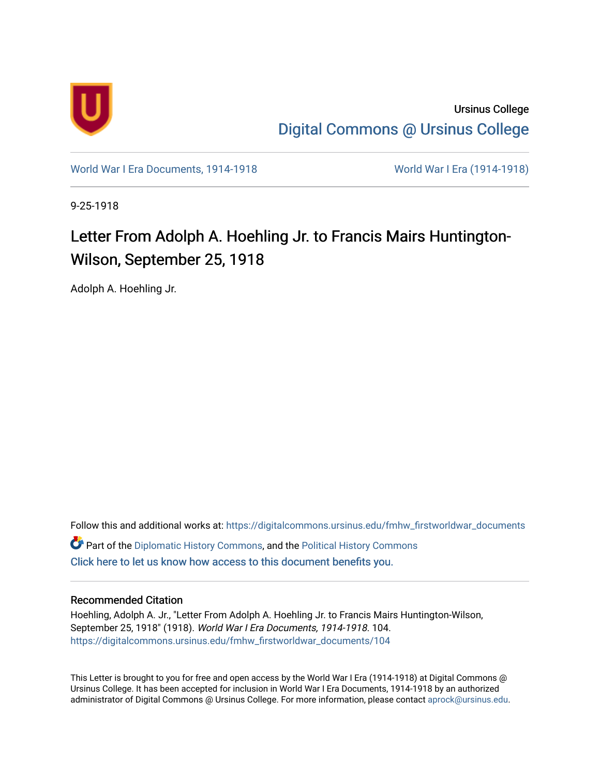

Ursinus College [Digital Commons @ Ursinus College](https://digitalcommons.ursinus.edu/) 

[World War I Era Documents, 1914-1918](https://digitalcommons.ursinus.edu/fmhw_firstworldwar_documents) [World War I Era \(1914-1918\)](https://digitalcommons.ursinus.edu/fmhw_firstworldwar) 

9-25-1918

## Letter From Adolph A. Hoehling Jr. to Francis Mairs Huntington-Wilson, September 25, 1918

Adolph A. Hoehling Jr.

Follow this and additional works at: [https://digitalcommons.ursinus.edu/fmhw\\_firstworldwar\\_documents](https://digitalcommons.ursinus.edu/fmhw_firstworldwar_documents?utm_source=digitalcommons.ursinus.edu%2Ffmhw_firstworldwar_documents%2F104&utm_medium=PDF&utm_campaign=PDFCoverPages)  Part of the [Diplomatic History Commons,](http://network.bepress.com/hgg/discipline/497?utm_source=digitalcommons.ursinus.edu%2Ffmhw_firstworldwar_documents%2F104&utm_medium=PDF&utm_campaign=PDFCoverPages) and the [Political History Commons](http://network.bepress.com/hgg/discipline/505?utm_source=digitalcommons.ursinus.edu%2Ffmhw_firstworldwar_documents%2F104&utm_medium=PDF&utm_campaign=PDFCoverPages) [Click here to let us know how access to this document benefits you.](https://ursinus.co1.qualtrics.com/jfe/form/SV_1RIyfqzdxsWfMQ5) 

## Recommended Citation

Hoehling, Adolph A. Jr., "Letter From Adolph A. Hoehling Jr. to Francis Mairs Huntington-Wilson, September 25, 1918" (1918). World War I Era Documents, 1914-1918. 104. [https://digitalcommons.ursinus.edu/fmhw\\_firstworldwar\\_documents/104](https://digitalcommons.ursinus.edu/fmhw_firstworldwar_documents/104?utm_source=digitalcommons.ursinus.edu%2Ffmhw_firstworldwar_documents%2F104&utm_medium=PDF&utm_campaign=PDFCoverPages) 

This Letter is brought to you for free and open access by the World War I Era (1914-1918) at Digital Commons @ Ursinus College. It has been accepted for inclusion in World War I Era Documents, 1914-1918 by an authorized administrator of Digital Commons @ Ursinus College. For more information, please contact [aprock@ursinus.edu.](mailto:aprock@ursinus.edu)